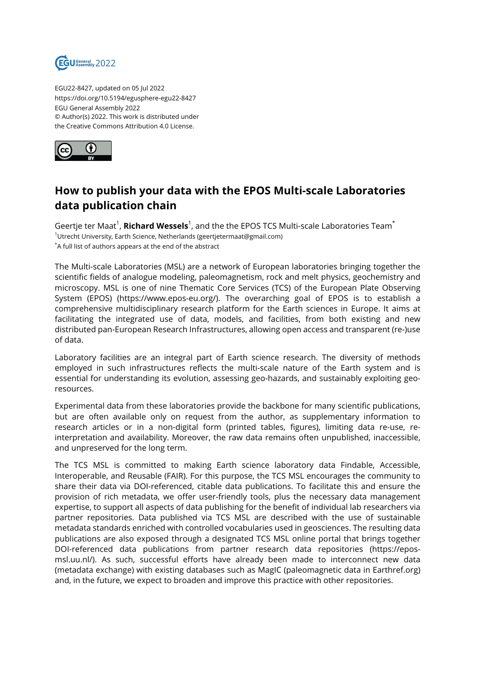

EGU22-8427, updated on 05 Jul 2022 https://doi.org/10.5194/egusphere-egu22-8427 EGU General Assembly 2022 © Author(s) 2022. This work is distributed under the Creative Commons Attribution 4.0 License.



## **How to publish your data with the EPOS Multi-scale Laboratories data publication chain**

Geertje ter Maat<sup>1</sup>, **Richard Wessels**<sup>1</sup>, and the the EPOS TCS Multi-scale Laboratories Team $^{\star}$ <sup>1</sup>Utrecht University, Earth Science, Netherlands (geertjetermaat@gmail.com) \*A full list of authors appears at the end of the abstract

The Multi-scale Laboratories (MSL) are a network of European laboratories bringing together the scientific fields of analogue modeling, paleomagnetism, rock and melt physics, geochemistry and microscopy. MSL is one of nine Thematic Core Services (TCS) of the European Plate Observing System (EPOS) (https://www.epos-eu.org/). The overarching goal of EPOS is to establish a comprehensive multidisciplinary research platform for the Earth sciences in Europe. It aims at facilitating the integrated use of data, models, and facilities, from both existing and new distributed pan-European Research Infrastructures, allowing open access and transparent (re-)use of data.

Laboratory facilities are an integral part of Earth science research. The diversity of methods employed in such infrastructures reflects the multi-scale nature of the Earth system and is essential for understanding its evolution, assessing geo-hazards, and sustainably exploiting georesources.

Experimental data from these laboratories provide the backbone for many scientific publications, but are often available only on request from the author, as supplementary information to research articles or in a non-digital form (printed tables, figures), limiting data re-use, reinterpretation and availability. Moreover, the raw data remains often unpublished, inaccessible, and unpreserved for the long term.

The TCS MSL is committed to making Earth science laboratory data Findable, Accessible, Interoperable, and Reusable (FAIR). For this purpose, the TCS MSL encourages the community to share their data via DOI-referenced, citable data publications. To facilitate this and ensure the provision of rich metadata, we offer user-friendly tools, plus the necessary data management expertise, to support all aspects of data publishing for the benefit of individual lab researchers via partner repositories. Data published via TCS MSL are described with the use of sustainable metadata standards enriched with controlled vocabularies used in geosciences. The resulting data publications are also exposed through a designated TCS MSL online portal that brings together DOI-referenced data publications from partner research data repositories (https://eposmsl.uu.nl/). As such, successful efforts have already been made to interconnect new data (metadata exchange) with existing databases such as MagIC (paleomagnetic data in Earthref.org) and, in the future, we expect to broaden and improve this practice with other repositories.